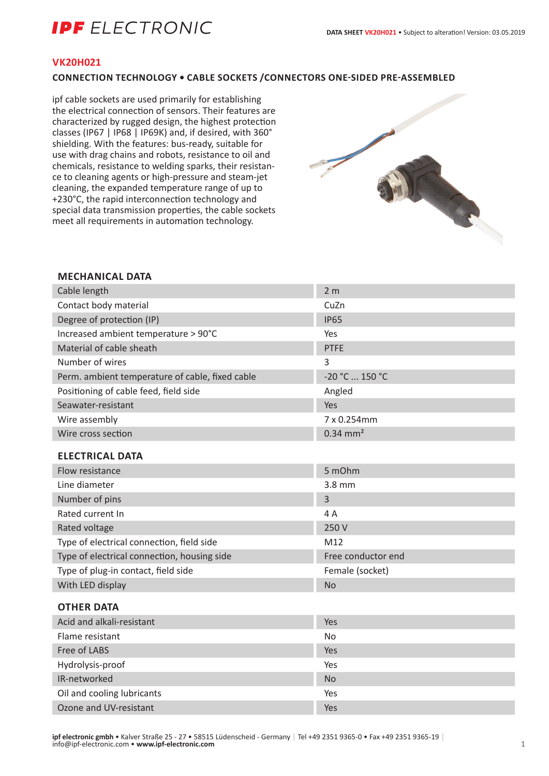# **IPF** ELECTRONIC

## **VK20H021**

# **CONNECTION TECHNOLOGY • CABLE SOCKETS /CONNECTORS ONE-SIDED PRE-ASSEMBLED**

ipf cable sockets are used primarily for establishing the electrical connection of sensors. Their features are characterized by rugged design, the highest protection classes (IP67 | IP68 | IP69K) and, if desired, with 360° shielding. With the features: bus-ready, suitable for use with drag chains and robots, resistance to oil and chemicals, resistance to welding sparks, their resistance to cleaning agents or high-pressure and steam-jet cleaning, the expanded temperature range of up to +230°C, the rapid interconnection technology and special data transmission properties, the cable sockets meet all requirements in automation technology.



## **MECHANICAL DATA**

| Cable length                                    | 2 <sub>m</sub>         |
|-------------------------------------------------|------------------------|
| Contact body material                           | CuZn                   |
| Degree of protection (IP)                       | <b>IP65</b>            |
| Increased ambient temperature > 90°C            | Yes                    |
| Material of cable sheath                        | <b>PTFE</b>            |
| Number of wires                                 | 3                      |
| Perm. ambient temperature of cable, fixed cable | -20 °C  150 °C         |
| Positioning of cable feed, field side           | Angled                 |
| Seawater-resistant                              | Yes                    |
| Wire assembly                                   | 7 x 0.254mm            |
| Wire cross section                              | $0.34$ mm <sup>2</sup> |
| <b>ELECTRICAL DATA</b>                          |                        |
| Flow resistance                                 | 5 mOhm                 |
| Line diameter                                   | $3.8$ mm               |
| Number of pins                                  | 3                      |
| Rated current In                                | 4A                     |
| Rated voltage                                   | 250 V                  |
| Type of electrical connection, field side       | M12                    |
| Type of electrical connection, housing side     | Free conductor end     |
| Type of plug-in contact, field side             | Female (socket)        |
| With LED display                                | <b>No</b>              |
| <b>OTHER DATA</b>                               |                        |
| Acid and alkali-resistant                       | Yes                    |
| Flame resistant                                 | <b>No</b>              |
| Free of LABS                                    | Yes                    |
| Hydrolysis-proof                                | Yes                    |

IR-networked No. 2008 and 2008 and 2008 and 2008 and 2008 and 2008 and 2008 and 2008 and 2008 and 2008 and 200 Oil and cooling lubricants The Yes Ozone and UV-resistant Yes